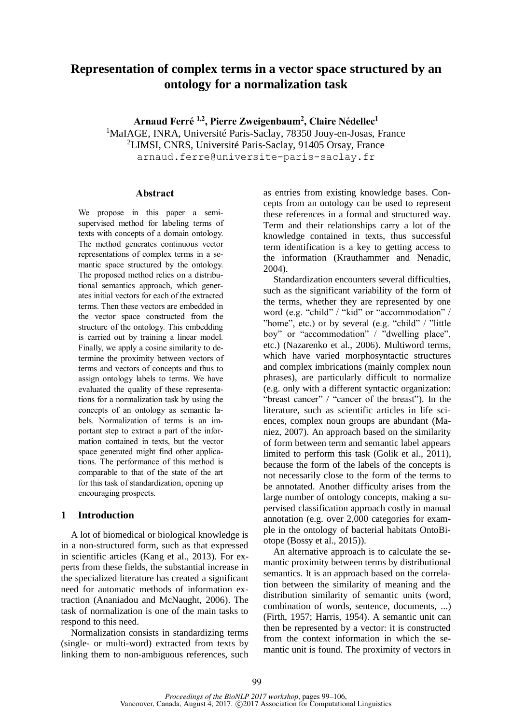# **Representation of complex terms in a vector space structured by an ontology for a normalization task**

**Arnaud Ferré 1,2, Pierre Zweigenbaum<sup>2</sup> , Claire Nédellec<sup>1</sup>** <sup>1</sup>MaIAGE, INRA, Université Paris-Saclay, 78350 Jouy-en-Josas, France <sup>2</sup>LIMSI, CNRS, Université Paris-Saclay, 91405 Orsay, France arnaud.ferre@universite-paris-saclay.fr

#### **Abstract**

We propose in this paper a semisupervised method for labeling terms of texts with concepts of a domain ontology. The method generates continuous vector representations of complex terms in a semantic space structured by the ontology. The proposed method relies on a distributional semantics approach, which generates initial vectors for each of the extracted terms. Then these vectors are embedded in the vector space constructed from the structure of the ontology. This embedding is carried out by training a linear model. Finally, we apply a cosine similarity to determine the proximity between vectors of terms and vectors of concepts and thus to assign ontology labels to terms. We have evaluated the quality of these representations for a normalization task by using the concepts of an ontology as semantic labels. Normalization of terms is an important step to extract a part of the information contained in texts, but the vector space generated might find other applications. The performance of this method is comparable to that of the state of the art for this task of standardization, opening up encouraging prospects.

## **1 Introduction**

A lot of biomedical or biological knowledge is in a non-structured form, such as that expressed in scientific articles (Kang et al., 2013). For experts from these fields, the substantial increase in the specialized literature has created a significant need for automatic methods of information extraction (Ananiadou and McNaught, 2006). The task of normalization is one of the main tasks to respond to this need.

Normalization consists in standardizing terms (single- or multi-word) extracted from texts by linking them to non-ambiguous references, such

as entries from existing knowledge bases. Concepts from an ontology can be used to represent these references in a formal and structured way. Term and their relationships carry a lot of the knowledge contained in texts, thus successful term identification is a key to getting access to the information (Krauthammer and Nenadic, 2004).

Standardization encounters several difficulties, such as the significant variability of the form of the terms, whether they are represented by one word (e.g. "child" / "kid" or "accommodation" / "home", etc.) or by several (e.g. "child" / "little boy" or "accommodation" / "dwelling place", etc.) (Nazarenko et al., 2006). Multiword terms, which have varied morphosyntactic structures and complex imbrications (mainly complex noun phrases), are particularly difficult to normalize (e.g. only with a different syntactic organization: "breast cancer" / "cancer of the breast"). In the literature, such as scientific articles in life sciences, complex noun groups are abundant (Maniez, 2007). An approach based on the similarity of form between term and semantic label appears limited to perform this task (Golik et al., 2011), because the form of the labels of the concepts is not necessarily close to the form of the terms to be annotated. Another difficulty arises from the large number of ontology concepts, making a supervised classification approach costly in manual annotation (e.g. over 2,000 categories for example in the ontology of bacterial habitats OntoBiotope (Bossy et al., 2015)).

An alternative approach is to calculate the semantic proximity between terms by distributional semantics. It is an approach based on the correlation between the similarity of meaning and the distribution similarity of semantic units (word, combination of words, sentence, documents, ...) (Firth, 1957; Harris, 1954). A semantic unit can then be represented by a vector: it is constructed from the context information in which the semantic unit is found. The proximity of vectors in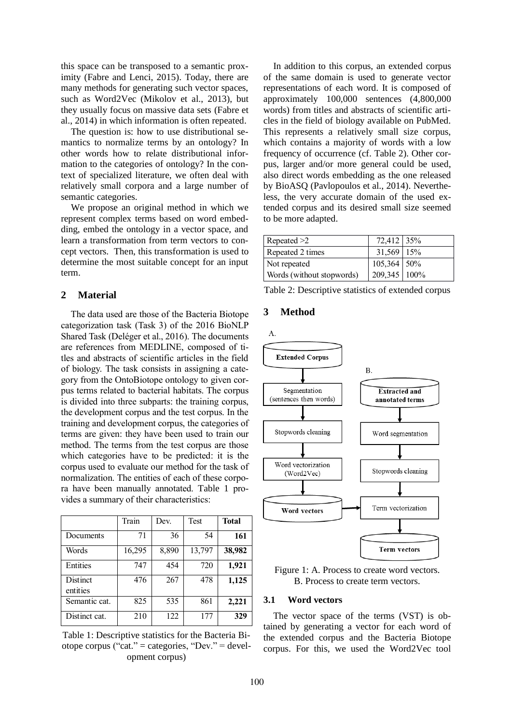this space can be transposed to a semantic proximity (Fabre and Lenci, 2015). Today, there are many methods for generating such vector spaces, such as Word2Vec (Mikolov et al., 2013), but they usually focus on massive data sets (Fabre et al., 2014) in which information is often repeated.

The question is: how to use distributional semantics to normalize terms by an ontology? In other words how to relate distributional information to the categories of ontology? In the context of specialized literature, we often deal with relatively small corpora and a large number of semantic categories.

We propose an original method in which we represent complex terms based on word embedding, embed the ontology in a vector space, and learn a transformation from term vectors to concept vectors. Then, this transformation is used to determine the most suitable concept for an input term.

### **2 Material**

The data used are those of the Bacteria Biotope categorization task (Task 3) of the 2016 BioNLP Shared Task (Deléger et al., 2016). The documents are references from MEDLINE, composed of titles and abstracts of scientific articles in the field of biology. The task consists in assigning a category from the OntoBiotope ontology to given corpus terms related to bacterial habitats. The corpus is divided into three subparts: the training corpus, the development corpus and the test corpus. In the training and development corpus, the categories of terms are given: they have been used to train our method. The terms from the test corpus are those which categories have to be predicted: it is the corpus used to evaluate our method for the task of normalization. The entities of each of these corpora have been manually annotated. Table 1 provides a summary of their characteristics:

|                      | Train  | Dev.  | Test   | <b>Total</b> |
|----------------------|--------|-------|--------|--------------|
| Documents            | 71     | 36    | 54     | 161          |
| Words                | 16,295 | 8,890 | 13,797 | 38,982       |
| Entities             | 747    | 454   | 720    | 1,921        |
| Distinct<br>entities | 476    | 267   | 478    | 1,125        |
| Semantic cat.        | 825    | 535   | 861    | 2,221        |
| Distinct cat.        | 210    | 122   | 177    | 329          |

Table 1: Descriptive statistics for the Bacteria Biotope corpus ("cat." = categories, "Dev." = development corpus)

In addition to this corpus, an extended corpus of the same domain is used to generate vector representations of each word. It is composed of approximately 100,000 sentences (4,800,000 words) from titles and abstracts of scientific articles in the field of biology available on PubMed. This represents a relatively small size corpus, which contains a majority of words with a low frequency of occurrence (cf. Table 2). Other corpus, larger and/or more general could be used, also direct words embedding as the one released by BioASQ (Pavlopoulos et al., 2014). Nevertheless, the very accurate domain of the used extended corpus and its desired small size seemed to be more adapted.

| Repeated $>2$             | 72,412 35%   |  |
|---------------------------|--------------|--|
| Repeated 2 times          | 31,569 15%   |  |
| Not repeated              | 105,364 50%  |  |
| Words (without stopwords) | 209,345 100% |  |

Table 2: Descriptive statistics of extended corpus

#### **3 Method**



Figure 1: A. Process to create word vectors. B. Process to create term vectors.

## **3.1 Word vectors**

The vector space of the terms (VST) is obtained by generating a vector for each word of the extended corpus and the Bacteria Biotope corpus. For this, we used the Word2Vec tool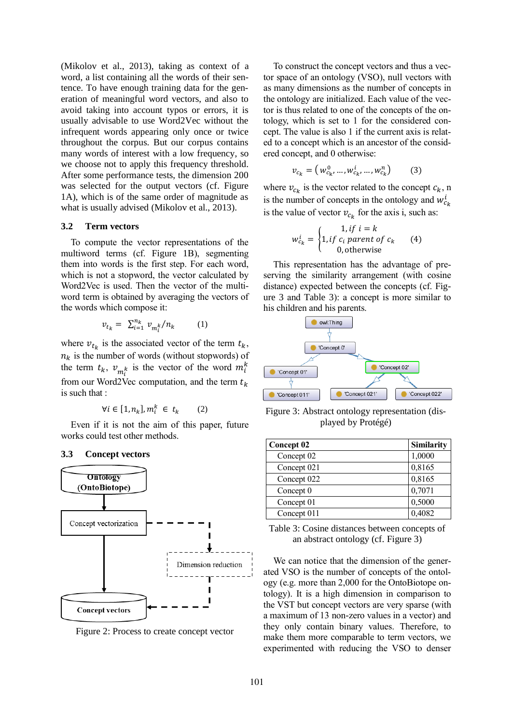(Mikolov et al., 2013), taking as context of a word, a list containing all the words of their sentence. To have enough training data for the generation of meaningful word vectors, and also to avoid taking into account typos or errors, it is usually advisable to use Word2Vec without the infrequent words appearing only once or twice throughout the corpus. But our corpus contains many words of interest with a low frequency, so we choose not to apply this frequency threshold. After some performance tests, the dimension 200 was selected for the output vectors (cf. Figure 1A), which is of the same order of magnitude as what is usually advised (Mikolov et al., 2013).

#### **3.2 Term vectors**

To compute the vector representations of the multiword terms (cf. Figure 1B), segmenting them into words is the first step. For each word, which is not a stopword, the vector calculated by Word2Vec is used. Then the vector of the multiword term is obtained by averaging the vectors of the words which compose it:

$$
v_{t_k} = \sum_{i=1}^{n_k} v_{m_i^k} / n_k \qquad (1)
$$

where  $v_{t_k}$  is the associated vector of the term  $t_k$ ,  $n_k$  is the number of words (without stopwords) of the term  $t_k$ ,  $v_{m_i^k}$  is the vector of the word  $m_i^k$ from our Word2Vec computation, and the term  $t_k$ is such that :

$$
\forall i \in [1, n_k], m_i^k \in t_k \qquad (2)
$$

Even if it is not the aim of this paper, future works could test other methods.



Figure 2: Process to create concept vector

To construct the concept vectors and thus a vector space of an ontology (VSO), null vectors with as many dimensions as the number of concepts in the ontology are initialized. Each value of the vector is thus related to one of the concepts of the ontology, which is set to 1 for the considered concept. The value is also 1 if the current axis is related to a concept which is an ancestor of the considered concept, and 0 otherwise:

$$
v_{c_k} = (w_{c_k}^0, ..., w_{c_k}^i, ..., w_{c_k}^n)
$$
 (3)

where  $v_{c_k}$  is the vector related to the concept  $c_k$ , n is the number of concepts in the ontology and  $w_{c_k}^i$ is the value of vector  $v_{c_k}$  for the axis i, such as:

$$
w_{c_k}^i = \begin{cases} 1, if \ i = k \\ 1, if \ c_i \ parent \ of \ c_k \\ 0, otherwise \end{cases} \tag{4}
$$

This representation has the advantage of preserving the similarity arrangement (with cosine distance) expected between the concepts (cf. Figure 3 and Table 3): a concept is more similar to his children and his parents.



Figure 3: Abstract ontology representation (displayed by Protégé)

| <b>Concept 02</b> | <b>Similarity</b> |
|-------------------|-------------------|
| Concept 02        | 1,0000            |
| Concept 021       | 0,8165            |
| Concept 022       | 0,8165            |
| Concept 0         | 0,7071            |
| Concept 01        | 0,5000            |
| Concept 011       | 0,4082            |

Table 3: Cosine distances between concepts of an abstract ontology (cf. Figure 3)

We can notice that the dimension of the generated VSO is the number of concepts of the ontology (e.g. more than 2,000 for the OntoBiotope ontology). It is a high dimension in comparison to the VST but concept vectors are very sparse (with a maximum of 13 non-zero values in a vector) and they only contain binary values. Therefore, to make them more comparable to term vectors, we experimented with reducing the VSO to denser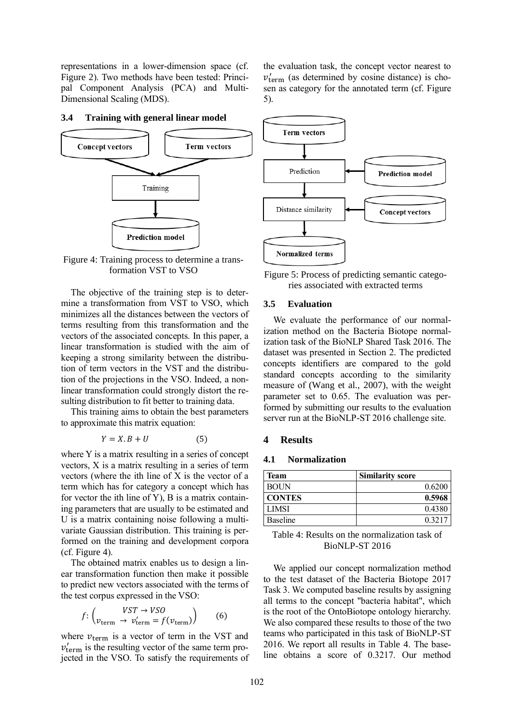representations in a lower-dimension space (cf. Figure 2). Two methods have been tested: Principal Component Analysis (PCA) and Multi-Dimensional Scaling (MDS).

the evaluation task, the concept vector nearest to  $v'_{\text{term}}$  (as determined by cosine distance) is chosen as category for the annotated term (cf. Figure 5).



#### **3.4 Training with general linear model**

Figure 4: Training process to determine a transformation VST to VSO

The objective of the training step is to determine a transformation from VST to VSO, which minimizes all the distances between the vectors of terms resulting from this transformation and the vectors of the associated concepts. In this paper, a linear transformation is studied with the aim of keeping a strong similarity between the distribution of term vectors in the VST and the distribution of the projections in the VSO. Indeed, a nonlinear transformation could strongly distort the resulting distribution to fit better to training data.

This training aims to obtain the best parameters to approximate this matrix equation:

$$
Y = X.B + U \tag{5}
$$

where Y is a matrix resulting in a series of concept vectors, X is a matrix resulting in a series of term vectors (where the ith line of X is the vector of a term which has for category a concept which has for vector the ith line of Y), B is a matrix containing parameters that are usually to be estimated and U is a matrix containing noise following a multivariate Gaussian distribution. This training is performed on the training and development corpora (cf. Figure 4).

The obtained matrix enables us to design a linear transformation function then make it possible to predict new vectors associated with the terms of the test corpus expressed in the VSO:

$$
f: \begin{pmatrix} VST \to VSO \\ v_{\text{term}} \to v_{\text{term}}' = f(v_{\text{term}}) \end{pmatrix} \tag{6}
$$

where  $v_{\text{term}}$  is a vector of term in the VST and  $v'_{\text{term}}$  is the resulting vector of the same term projected in the VSO. To satisfy the requirements of



Figure 5: Process of predicting semantic categories associated with extracted terms

#### **3.5 Evaluation**

We evaluate the performance of our normalization method on the Bacteria Biotope normalization task of the BioNLP Shared Task 2016. The dataset was presented in Section 2. The predicted concepts identifiers are compared to the gold standard concepts according to the similarity measure of (Wang et al., 2007), with the weight parameter set to 0.65. The evaluation was performed by submitting our results to the evaluation server run at the BioNLP-ST 2016 challenge site.

#### **4 Results**

## **4.1 Normalization**

| <b>Similarity score</b> |
|-------------------------|
| 0.6200                  |
| 0.5968                  |
| 0.4380                  |
| 0.3217                  |
|                         |

Table 4: Results on the normalization task of BioNLP-ST 2016

We applied our concept normalization method to the test dataset of the Bacteria Biotope 2017 Task 3. We computed baseline results by assigning all terms to the concept "bacteria habitat", which is the root of the OntoBiotope ontology hierarchy. We also compared these results to those of the two teams who participated in this task of BioNLP-ST 2016. We report all results in Table 4. The baseline obtains a score of 0.3217. Our method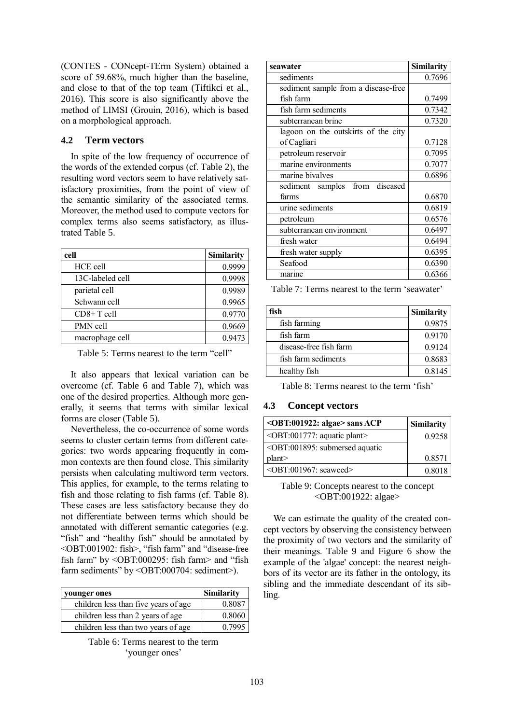(CONTES - CONcept-TErm System) obtained a score of 59.68%, much higher than the baseline, and close to that of the top team (Tiftikci et al., 2016). This score is also significantly above the method of LIMSI (Grouin, 2016), which is based on a morphological approach.

## **4.2 Term vectors**

In spite of the low frequency of occurrence of the words of the extended corpus (cf. Table 2), the resulting word vectors seem to have relatively satisfactory proximities, from the point of view of the semantic similarity of the associated terms. Moreover, the method used to compute vectors for complex terms also seems satisfactory, as illustrated Table 5.

| cell             | Similarity |
|------------------|------------|
| HCE cell         | 0.9999     |
| 13C-labeled cell | 0.9998     |
| parietal cell    | 0.9989     |
| Schwann cell     | 0.9965     |
| $CD8+T$ cell     | 0.9770     |
| PMN cell         | 0.9669     |
| macrophage cell  | 0.9473     |

Table 5: Terms nearest to the term "cell"

It also appears that lexical variation can be overcome (cf. Table 6 and Table 7), which was one of the desired properties. Although more generally, it seems that terms with similar lexical forms are closer (Table 5).

Nevertheless, the co-occurrence of some words seems to cluster certain terms from different categories: two words appearing frequently in common contexts are then found close. This similarity persists when calculating multiword term vectors. This applies, for example, to the terms relating to fish and those relating to fish farms (cf. Table 8). These cases are less satisfactory because they do not differentiate between terms which should be annotated with different semantic categories (e.g. "fish" and "healthy fish" should be annotated by <OBT:001902: fish>, "fish farm" and "disease-free fish farm" by <OBT:000295: fish farm> and "fish farm sediments" by <OBT:000704: sediment>).

| vounger ones                         | Similarity |
|--------------------------------------|------------|
| children less than five years of age | 0.8087     |
| children less than 2 years of age    | 0.8060     |
| children less than two years of age  | 0.7995     |

Table 6: Terms nearest to the term 'younger ones'

| seawater                            | <b>Similarity</b> |
|-------------------------------------|-------------------|
| sediments                           | 0.7696            |
| sediment sample from a disease-free |                   |
| fish farm                           | 0.7499            |
| fish farm sediments                 | 0.7342            |
| subterranean brine                  | 0.7320            |
| lagoon on the outskirts of the city |                   |
| of Cagliari                         | 0.7128            |
| petroleum reservoir                 | 0.7095            |
| marine environments                 | 0.7077            |
| marine bivalves                     | 0.6896            |
| sediment samples from diseased      |                   |
| farms                               | 0.6870            |
| urine sediments                     | 0.6819            |
| petroleum                           | 0.6576            |
| subterranean environment            | 0.6497            |
| fresh water                         | 0.6494            |
| fresh water supply                  | 0.6395            |
| Seafood                             | 0.6390            |
| marine                              | 0.6366            |

Table 7: Terms nearest to the term 'seawater'

| fish                   | <b>Similarity</b> |
|------------------------|-------------------|
| fish farming           | 0.9875            |
| fish farm              | 0.9170            |
| disease-free fish farm | 0.9124            |
| fish farm sediments    | 0.8683            |
| healthy fish           | 0.8145            |

Table 8: Terms nearest to the term 'fish'

## **4.3 Concept vectors**

| <obt:001922: algae=""> sans ACP</obt:001922:>                       | <b>Similarity</b> |
|---------------------------------------------------------------------|-------------------|
| $\le$ OBT:001777: aquatic plant>                                    | 0.9258            |
| <obt:001895: aquatic<="" submersed="" td=""><td></td></obt:001895:> |                   |
| plan                                                                | 0.8571            |
| $\le$ OBT:001967: seaweed>                                          | 0.8018            |

#### Table 9: Concepts nearest to the concept <OBT:001922: algae>

We can estimate the quality of the created concept vectors by observing the consistency between the proximity of two vectors and the similarity of their meanings. Table 9 and Figure 6 show the example of the 'algae' concept: the nearest neighbors of its vector are its father in the ontology, its sibling and the immediate descendant of its sibling.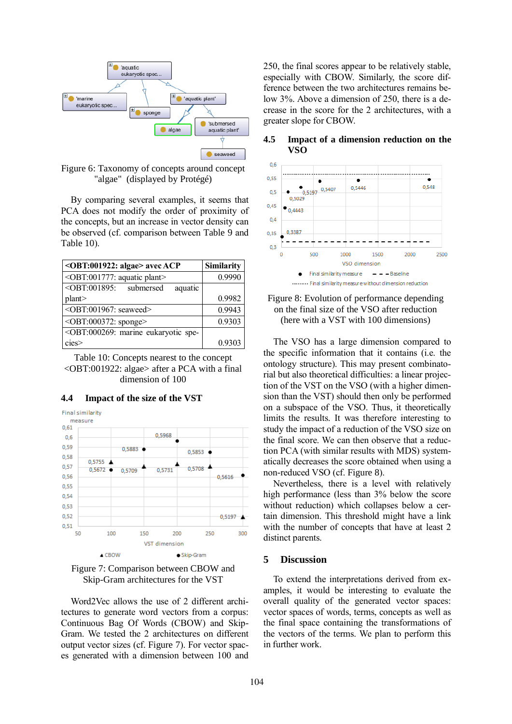

Figure 6: Taxonomy of concepts around concept "algae" (displayed by Protégé)

By comparing several examples, it seems that PCA does not modify the order of proximity of the concepts, but an increase in vector density can be observed (cf. comparison between Table 9 and Table 10).

| <obt:001922: algae=""> avec ACP</obt:001922:>                               | <b>Similarity</b> |
|-----------------------------------------------------------------------------|-------------------|
| <obt:001777: aquatic="" plant=""></obt:001777:>                             | 0.9990            |
| $\overline{\text{<} \text{OBT}:}001895$ :<br>submersed<br>aquatic           |                   |
| plan                                                                        | 0.9982            |
| <obt:001967: seaweed=""></obt:001967:>                                      | 0.9943            |
| <obt:000372: sponge=""></obt:000372:>                                       | 0.9303            |
| <obt:000269: eukaryotic="" marine="" spe-<="" td=""><td></td></obt:000269:> |                   |
| cies                                                                        | 0.9303            |

Table 10: Concepts nearest to the concept <OBT:001922: algae> after a PCA with a final dimension of 100



### **4.4 Impact of the size of the VST**



Word2Vec allows the use of 2 different architectures to generate word vectors from a corpus: Continuous Bag Of Words (CBOW) and Skip-Gram. We tested the 2 architectures on different output vector sizes (cf. Figure 7). For vector spaces generated with a dimension between 100 and 250, the final scores appear to be relatively stable, especially with CBOW. Similarly, the score difference between the two architectures remains below 3%. Above a dimension of 250, there is a decrease in the score for the 2 architectures, with a greater slope for CBOW.

#### $0,6$  $0,55$ 0.548 0.5446 0.5407  $0.5$ ٠ 0.5197 0,5029  $0.45$ 0.4443  $0,4$ 0,3387 0.35  $0.3$  $\overline{0}$ 2500 500 1000 1500  $2000$ VSO dimension Final similarity measure  $- -$  Raseline ......... Final similarity measure without dimension reduction

## **4.5 Impact of a dimension reduction on the VSO**



The VSO has a large dimension compared to the specific information that it contains (i.e. the ontology structure). This may present combinatorial but also theoretical difficulties: a linear projection of the VST on the VSO (with a higher dimension than the VST) should then only be performed on a subspace of the VSO. Thus, it theoretically limits the results. It was therefore interesting to study the impact of a reduction of the VSO size on the final score. We can then observe that a reduction PCA (with similar results with MDS) systematically decreases the score obtained when using a non-reduced VSO (cf. Figure 8).

Nevertheless, there is a level with relatively high performance (less than 3% below the score without reduction) which collapses below a certain dimension. This threshold might have a link with the number of concepts that have at least 2 distinct parents.

### **5 Discussion**

To extend the interpretations derived from examples, it would be interesting to evaluate the overall quality of the generated vector spaces: vector spaces of words, terms, concepts as well as the final space containing the transformations of the vectors of the terms. We plan to perform this in further work.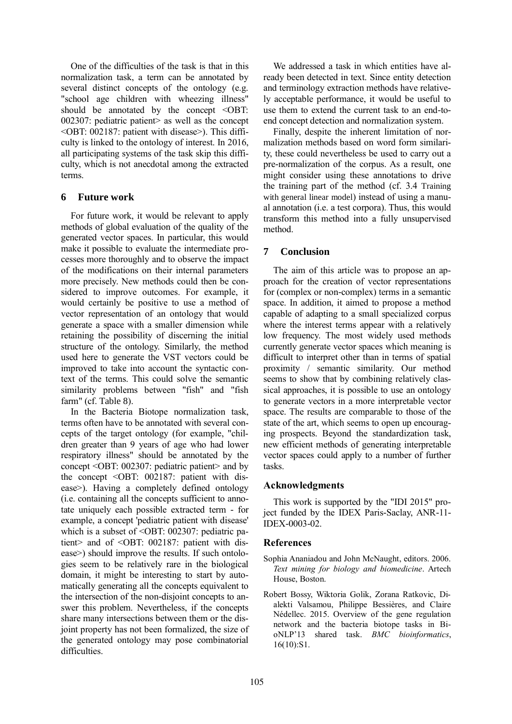One of the difficulties of the task is that in this normalization task, a term can be annotated by several distinct concepts of the ontology (e.g. "school age children with wheezing illness" should be annotated by the concept <OBT: 002307: pediatric patient> as well as the concept <OBT: 002187: patient with disease>). This difficulty is linked to the ontology of interest. In 2016, all participating systems of the task skip this difficulty, which is not anecdotal among the extracted terms.

## **6 Future work**

For future work, it would be relevant to apply methods of global evaluation of the quality of the generated vector spaces. In particular, this would make it possible to evaluate the intermediate processes more thoroughly and to observe the impact of the modifications on their internal parameters more precisely. New methods could then be considered to improve outcomes. For example, it would certainly be positive to use a method of vector representation of an ontology that would generate a space with a smaller dimension while retaining the possibility of discerning the initial structure of the ontology. Similarly, the method used here to generate the VST vectors could be improved to take into account the syntactic context of the terms. This could solve the semantic similarity problems between "fish" and "fish farm" (cf. Table 8).

In the Bacteria Biotope normalization task, terms often have to be annotated with several concepts of the target ontology (for example, "children greater than 9 years of age who had lower respiratory illness" should be annotated by the concept <OBT: 002307: pediatric patient> and by the concept <OBT: 002187: patient with disease>). Having a completely defined ontology (i.e. containing all the concepts sufficient to annotate uniquely each possible extracted term - for example, a concept 'pediatric patient with disease' which is a subset of <OBT: 002307: pediatric patient> and of <OBT: 002187: patient with disease>) should improve the results. If such ontologies seem to be relatively rare in the biological domain, it might be interesting to start by automatically generating all the concepts equivalent to the intersection of the non-disjoint concepts to answer this problem. Nevertheless, if the concepts share many intersections between them or the disjoint property has not been formalized, the size of the generated ontology may pose combinatorial difficulties.

We addressed a task in which entities have already been detected in text. Since entity detection and terminology extraction methods have relatively acceptable performance, it would be useful to use them to extend the current task to an end-toend concept detection and normalization system.

Finally, despite the inherent limitation of normalization methods based on word form similarity, these could nevertheless be used to carry out a pre-normalization of the corpus. As a result, one might consider using these annotations to drive the training part of the method (cf. 3.4 Training with general linear model) instead of using a manual annotation (i.e. a test corpora). Thus, this would transform this method into a fully unsupervised method.

## **7 Conclusion**

The aim of this article was to propose an approach for the creation of vector representations for (complex or non-complex) terms in a semantic space. In addition, it aimed to propose a method capable of adapting to a small specialized corpus where the interest terms appear with a relatively low frequency. The most widely used methods currently generate vector spaces which meaning is difficult to interpret other than in terms of spatial proximity / semantic similarity. Our method seems to show that by combining relatively classical approaches, it is possible to use an ontology to generate vectors in a more interpretable vector space. The results are comparable to those of the state of the art, which seems to open up encouraging prospects. Beyond the standardization task, new efficient methods of generating interpretable vector spaces could apply to a number of further tasks.

## **Acknowledgments**

This work is supported by the "IDI 2015" project funded by the IDEX Paris-Saclay, ANR-11- IDEX-0003-02.

## **References**

- Sophia Ananiadou and John McNaught, editors. 2006. *Text mining for biology and biomedicine*. Artech House, Boston.
- Robert Bossy, Wiktoria Golik, Zorana Ratkovic, Dialekti Valsamou, Philippe Bessières, and Claire Nédellec. 2015. Overview of the gene regulation network and the bacteria biotope tasks in BioNLP'13 shared task. *BMC bioinformatics*, 16(10):S1.